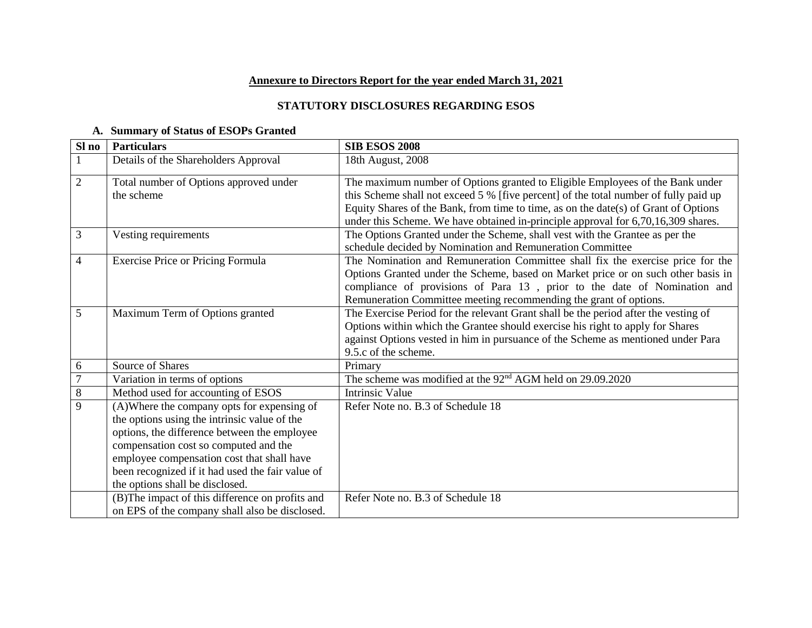## **Annexure to Directors Report for the year ended March 31, 2021**

### **STATUTORY DISCLOSURES REGARDING ESOS**

## **A. Summary of Status of ESOPs Granted**

| Sl no          | <b>Particulars</b>                                   | <b>SIB ESOS 2008</b>                                                                                                                                                     |
|----------------|------------------------------------------------------|--------------------------------------------------------------------------------------------------------------------------------------------------------------------------|
|                | Details of the Shareholders Approval                 | 18th August, 2008                                                                                                                                                        |
| $\overline{2}$ | Total number of Options approved under<br>the scheme | The maximum number of Options granted to Eligible Employees of the Bank under<br>this Scheme shall not exceed 5 % [five percent] of the total number of fully paid up    |
|                |                                                      | Equity Shares of the Bank, from time to time, as on the date(s) of Grant of Options<br>under this Scheme. We have obtained in-principle approval for 6,70,16,309 shares. |
| 3              | Vesting requirements                                 | The Options Granted under the Scheme, shall vest with the Grantee as per the<br>schedule decided by Nomination and Remuneration Committee                                |
| 4              | Exercise Price or Pricing Formula                    | The Nomination and Remuneration Committee shall fix the exercise price for the                                                                                           |
|                |                                                      | Options Granted under the Scheme, based on Market price or on such other basis in                                                                                        |
|                |                                                      | compliance of provisions of Para 13, prior to the date of Nomination and                                                                                                 |
|                |                                                      | Remuneration Committee meeting recommending the grant of options.                                                                                                        |
| 5              | Maximum Term of Options granted                      | The Exercise Period for the relevant Grant shall be the period after the vesting of                                                                                      |
|                |                                                      | Options within which the Grantee should exercise his right to apply for Shares                                                                                           |
|                |                                                      | against Options vested in him in pursuance of the Scheme as mentioned under Para<br>9.5.c of the scheme.                                                                 |
| 6              | Source of Shares                                     | Primary                                                                                                                                                                  |
| $\overline{7}$ | Variation in terms of options                        | The scheme was modified at the 92 <sup>nd</sup> AGM held on 29.09.2020                                                                                                   |
| $\overline{8}$ | Method used for accounting of ESOS                   | <b>Intrinsic Value</b>                                                                                                                                                   |
| $\overline{9}$ | (A) Where the company opts for expensing of          | Refer Note no. B.3 of Schedule 18                                                                                                                                        |
|                | the options using the intrinsic value of the         |                                                                                                                                                                          |
|                | options, the difference between the employee         |                                                                                                                                                                          |
|                | compensation cost so computed and the                |                                                                                                                                                                          |
|                | employee compensation cost that shall have           |                                                                                                                                                                          |
|                | been recognized if it had used the fair value of     |                                                                                                                                                                          |
|                | the options shall be disclosed.                      |                                                                                                                                                                          |
|                | (B) The impact of this difference on profits and     | Refer Note no. B.3 of Schedule 18                                                                                                                                        |
|                | on EPS of the company shall also be disclosed.       |                                                                                                                                                                          |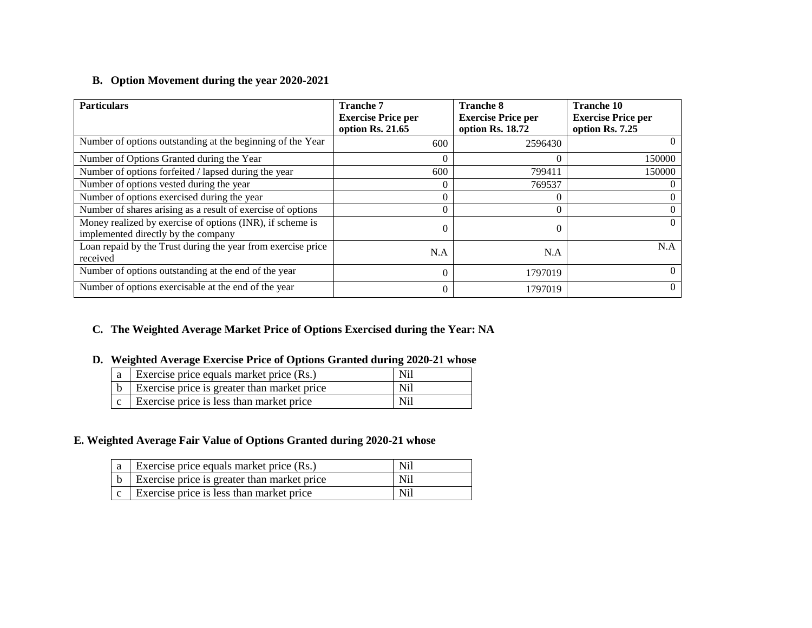## **B. Option Movement during the year 2020-2021**

| <b>Particulars</b>                                                                               | <b>Tranche 7</b><br><b>Exercise Price per</b><br>option Rs. 21.65 | <b>Tranche 8</b><br><b>Exercise Price per</b><br>option Rs. 18.72 | <b>Tranche 10</b><br><b>Exercise Price per</b><br>option Rs. 7.25 |
|--------------------------------------------------------------------------------------------------|-------------------------------------------------------------------|-------------------------------------------------------------------|-------------------------------------------------------------------|
| Number of options outstanding at the beginning of the Year                                       | 600                                                               | 2596430                                                           |                                                                   |
| Number of Options Granted during the Year                                                        | 0                                                                 |                                                                   | 150000                                                            |
| Number of options forfeited / lapsed during the year                                             | 600                                                               | 799411                                                            | 150000                                                            |
| Number of options vested during the year                                                         | 0                                                                 | 769537                                                            |                                                                   |
| Number of options exercised during the year                                                      | $\theta$                                                          |                                                                   |                                                                   |
| Number of shares arising as a result of exercise of options                                      | 0                                                                 | 0                                                                 |                                                                   |
| Money realized by exercise of options (INR), if scheme is<br>implemented directly by the company | 0                                                                 |                                                                   | $\Omega$                                                          |
| Loan repaid by the Trust during the year from exercise price<br>received                         | N.A                                                               | N.A                                                               | N.A                                                               |
| Number of options outstanding at the end of the year                                             | $\Omega$                                                          | 1797019                                                           |                                                                   |
| Number of options exercisable at the end of the year                                             | $\theta$                                                          | 1797019                                                           |                                                                   |

# **C. The Weighted Average Market Price of Options Exercised during the Year: NA**

## **D. Weighted Average Exercise Price of Options Granted during 2020-21 whose**

| $\vert$ a $\vert$ Exercise price equals market price (Rs.)  | N <sub>i</sub> |
|-------------------------------------------------------------|----------------|
| $\vert b \vert$ Exercise price is greater than market price | N <sub>i</sub> |
| Exercise price is less than market price                    | N <sub>i</sub> |

### **E. Weighted Average Fair Value of Options Granted during 2020-21 whose**

| $ a $ Exercise price equals market price (Rs.)              | Nil |
|-------------------------------------------------------------|-----|
| $\vert b \vert$ Exercise price is greater than market price | Nil |
| $\vert c \vert$ Exercise price is less than market price    | Nil |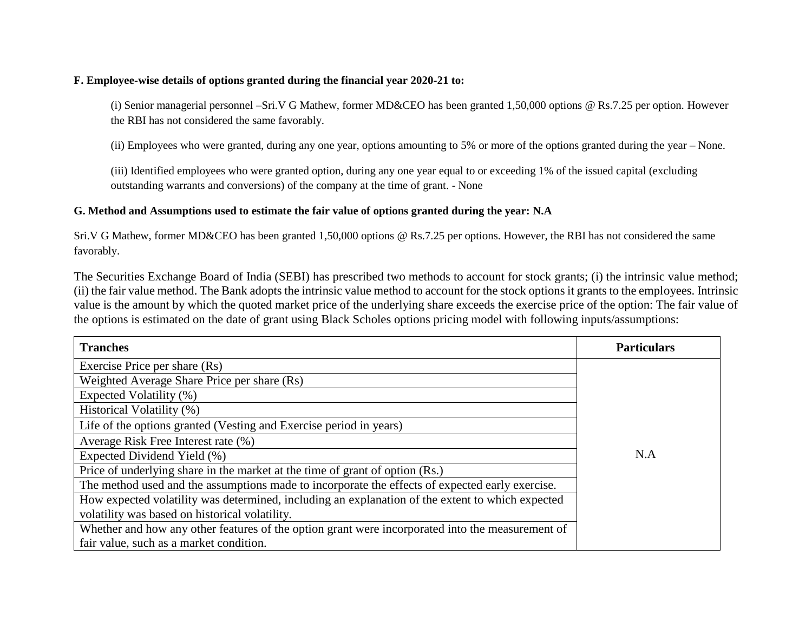#### **F. Employee-wise details of options granted during the financial year 2020-21 to:**

(i) Senior managerial personnel –Sri.V G Mathew, former MD&CEO has been granted 1,50,000 options @ Rs.7.25 per option. However the RBI has not considered the same favorably.

(ii) Employees who were granted, during any one year, options amounting to 5% or more of the options granted during the year – None.

(iii) Identified employees who were granted option, during any one year equal to or exceeding 1% of the issued capital (excluding outstanding warrants and conversions) of the company at the time of grant. - None

### **G. Method and Assumptions used to estimate the fair value of options granted during the year: N.A**

Sri.V G Mathew, former MD&CEO has been granted 1,50,000 options @ Rs.7.25 per options. However, the RBI has not considered the same favorably.

The Securities Exchange Board of India (SEBI) has prescribed two methods to account for stock grants; (i) the intrinsic value method; (ii) the fair value method. The Bank adopts the intrinsic value method to account for the stock options it grants to the employees. Intrinsic value is the amount by which the quoted market price of the underlying share exceeds the exercise price of the option: The fair value of the options is estimated on the date of grant using Black Scholes options pricing model with following inputs/assumptions:

| <b>Tranches</b>                                                                                  | <b>Particulars</b> |
|--------------------------------------------------------------------------------------------------|--------------------|
| Exercise Price per share (Rs)                                                                    |                    |
| Weighted Average Share Price per share (Rs)                                                      |                    |
| Expected Volatility (%)                                                                          |                    |
| Historical Volatility (%)                                                                        |                    |
| Life of the options granted (Vesting and Exercise period in years)                               |                    |
| Average Risk Free Interest rate (%)                                                              |                    |
| Expected Dividend Yield (%)                                                                      | N.A                |
| Price of underlying share in the market at the time of grant of option (Rs.)                     |                    |
| The method used and the assumptions made to incorporate the effects of expected early exercise.  |                    |
| How expected volatility was determined, including an explanation of the extent to which expected |                    |
| volatility was based on historical volatility.                                                   |                    |
| Whether and how any other features of the option grant were incorporated into the measurement of |                    |
| fair value, such as a market condition.                                                          |                    |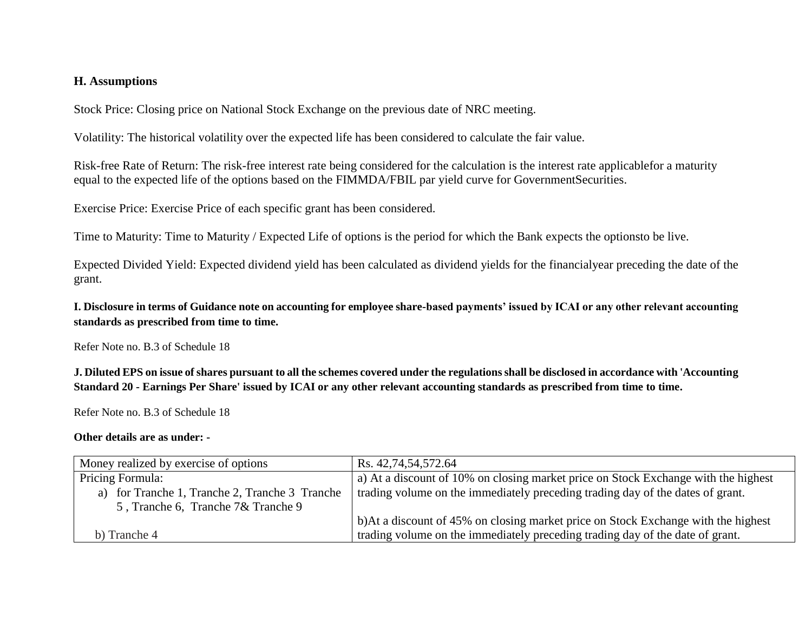## **H. Assumptions**

Stock Price: Closing price on National Stock Exchange on the previous date of NRC meeting.

Volatility: The historical volatility over the expected life has been considered to calculate the fair value.

Risk-free Rate of Return: The risk-free interest rate being considered for the calculation is the interest rate applicablefor a maturity equal to the expected life of the options based on the FIMMDA/FBIL par yield curve for GovernmentSecurities.

Exercise Price: Exercise Price of each specific grant has been considered.

Time to Maturity: Time to Maturity / Expected Life of options is the period for which the Bank expects the optionsto be live.

Expected Divided Yield: Expected dividend yield has been calculated as dividend yields for the financialyear preceding the date of the grant.

**I. Disclosure in terms of Guidance note on accounting for employee share-based payments' issued by ICAI or any other relevant accounting standards as prescribed from time to time.**

Refer Note no. B.3 of Schedule 18

**J. Diluted EPS on issue of shares pursuant to all the schemes covered under the regulations shall be disclosed in accordance with 'Accounting Standard 20 - Earnings Per Share' issued by ICAI or any other relevant accounting standards as prescribed from time to time.** 

Refer Note no. B.3 of Schedule 18

#### **Other details are as under: -**

| Money realized by exercise of options          | Rs. 42,74,54,572.64                                                                |  |
|------------------------------------------------|------------------------------------------------------------------------------------|--|
| Pricing Formula:                               | a) At a discount of 10% on closing market price on Stock Exchange with the highest |  |
| a) for Tranche 1, Tranche 2, Tranche 3 Tranche | trading volume on the immediately preceding trading day of the dates of grant.     |  |
| 5, Tranche 6, Tranche 7& Tranche 9             |                                                                                    |  |
|                                                | b) At a discount of 45% on closing market price on Stock Exchange with the highest |  |
| b) Tranche 4                                   | trading volume on the immediately preceding trading day of the date of grant.      |  |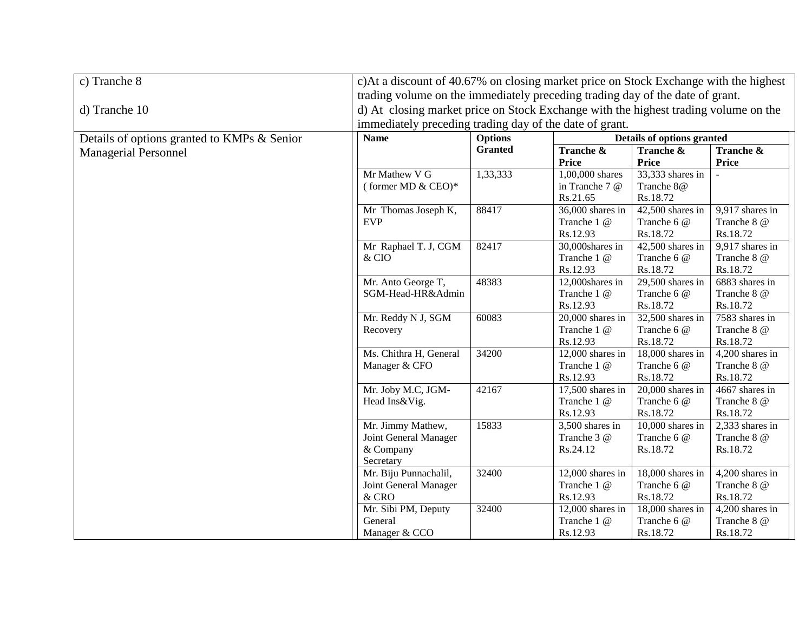| c) Tranche 8                                | c)At a discount of 40.67% on closing market price on Stock Exchange with the highest                                   |                |                      |                    |                             |
|---------------------------------------------|------------------------------------------------------------------------------------------------------------------------|----------------|----------------------|--------------------|-----------------------------|
|                                             | trading volume on the immediately preceding trading day of the date of grant.                                          |                |                      |                    |                             |
| d) Tranche 10                               | d) At closing market price on Stock Exchange with the highest trading volume on the                                    |                |                      |                    |                             |
|                                             |                                                                                                                        |                |                      |                    |                             |
| Details of options granted to KMPs & Senior | immediately preceding trading day of the date of grant.<br>Details of options granted<br><b>Options</b><br><b>Name</b> |                |                      |                    |                             |
| <b>Managerial Personnel</b>                 |                                                                                                                        | <b>Granted</b> | <b>Tranche &amp;</b> | Tranche &          | Tranche &                   |
|                                             |                                                                                                                        |                | <b>Price</b>         | <b>Price</b>       | <b>Price</b>                |
|                                             | Mr Mathew V G                                                                                                          | 1,33,333       | 1,00,000 shares      | 33,333 shares in   |                             |
|                                             | (former MD & CEO)*                                                                                                     |                | in Tranche 7 @       | Tranche 8@         |                             |
|                                             |                                                                                                                        |                | Rs.21.65             | Rs.18.72           |                             |
|                                             | Mr Thomas Joseph K,                                                                                                    | 88417          | 36,000 shares in     | $42,500$ shares in | 9,917 shares in             |
|                                             | <b>EVP</b>                                                                                                             |                | Tranche 1 @          | Tranche 6 @        | Tranche 8 @                 |
|                                             |                                                                                                                        |                | Rs.12.93             | Rs.18.72           | Rs.18.72                    |
|                                             | Mr Raphael T. J, CGM                                                                                                   | 82417          | 30,000shares in      | $42,500$ shares in | 9,917 shares in             |
|                                             | & CIO                                                                                                                  |                | Tranche 1 @          | Tranche 6 @        | Tranche 8 @                 |
|                                             |                                                                                                                        |                | Rs.12.93             | Rs.18.72           | Rs.18.72                    |
|                                             | Mr. Anto George T,                                                                                                     | 48383          | 12,000shares in      | $29,500$ shares in | 6883 shares in              |
|                                             | SGM-Head-HR&Admin                                                                                                      |                | Tranche 1 @          | Tranche 6 @        | Tranche 8 @                 |
|                                             |                                                                                                                        |                | Rs.12.93             | Rs.18.72           | Rs.18.72                    |
|                                             | Mr. Reddy N J, SGM                                                                                                     | 60083          | $20,000$ shares in   | 32,500 shares in   | 7583 shares in              |
|                                             | Recovery                                                                                                               |                | Tranche 1 @          | Tranche 6 @        | Tranche 8 @                 |
|                                             |                                                                                                                        |                | Rs.12.93             | Rs.18.72           | Rs.18.72                    |
|                                             | Ms. Chithra H, General                                                                                                 | 34200          | $12,000$ shares in   | 18,000 shares in   | $4,200$ shares in           |
|                                             | Manager & CFO                                                                                                          |                | Tranche 1 @          | Tranche 6 @        | Tranche 8 @                 |
|                                             |                                                                                                                        |                | Rs.12.93             | Rs.18.72           | Rs.18.72                    |
|                                             | Mr. Joby M.C, JGM-                                                                                                     | 42167          | $17,500$ shares in   | $20,000$ shares in | $\overline{4667}$ shares in |
|                                             | Head Ins&Vig.                                                                                                          |                | Tranche 1 @          | Tranche 6 @        | Tranche 8 @                 |
|                                             |                                                                                                                        |                | Rs.12.93             | Rs.18.72           | Rs.18.72                    |
|                                             | Mr. Jimmy Mathew,                                                                                                      | 15833          | 3,500 shares in      | $10,000$ shares in | 2,333 shares in             |
|                                             | Joint General Manager                                                                                                  |                | Tranche 3 @          | Tranche 6 @        | Tranche 8 @                 |
|                                             | & Company                                                                                                              |                | Rs.24.12             | Rs.18.72           | Rs.18.72                    |
|                                             | Secretary                                                                                                              |                |                      |                    |                             |
|                                             | Mr. Biju Punnachalil,                                                                                                  | 32400          | $12,000$ shares in   | 18,000 shares in   | 4,200 shares in             |
|                                             | Joint General Manager                                                                                                  |                | Tranche 1 @          | Tranche 6 @        | Tranche 8 @                 |
|                                             | & CRO                                                                                                                  |                | Rs.12.93             | Rs.18.72           | Rs.18.72                    |
|                                             | Mr. Sibi PM, Deputy                                                                                                    | 32400          | 12,000 shares in     | 18,000 shares in   | 4,200 shares in             |
|                                             | General                                                                                                                |                | Tranche 1 @          | Tranche 6 @        | Tranche 8 @                 |
|                                             | Manager & CCO                                                                                                          |                | Rs.12.93             | Rs.18.72           | Rs.18.72                    |